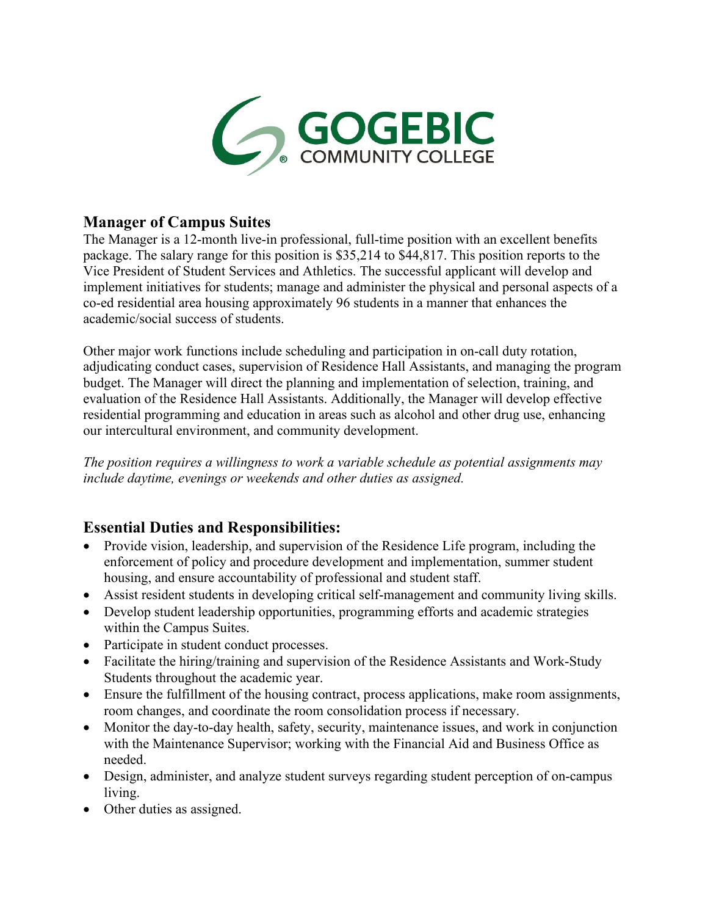

### **Manager of Campus Suites**

The Manager is a 12-month live-in professional, full-time position with an excellent benefits package. The salary range for this position is \$35,214 to \$44,817. This position reports to the Vice President of Student Services and Athletics. The successful applicant will develop and implement initiatives for students; manage and administer the physical and personal aspects of a co-ed residential area housing approximately 96 students in a manner that enhances the academic/social success of students.

Other major work functions include scheduling and participation in on-call duty rotation, adjudicating conduct cases, supervision of Residence Hall Assistants, and managing the program budget. The Manager will direct the planning and implementation of selection, training, and evaluation of the Residence Hall Assistants. Additionally, the Manager will develop effective residential programming and education in areas such as alcohol and other drug use, enhancing our intercultural environment, and community development.

*The position requires a willingness to work a variable schedule as potential assignments may include daytime, evenings or weekends and other duties as assigned.*

### **Essential Duties and Responsibilities:**

- Provide vision, leadership, and supervision of the Residence Life program, including the enforcement of policy and procedure development and implementation, summer student housing, and ensure accountability of professional and student staff.
- Assist resident students in developing critical self-management and community living skills.
- Develop student leadership opportunities, programming efforts and academic strategies within the Campus Suites.
- Participate in student conduct processes.
- Facilitate the hiring/training and supervision of the Residence Assistants and Work-Study Students throughout the academic year.
- Ensure the fulfillment of the housing contract, process applications, make room assignments, room changes, and coordinate the room consolidation process if necessary.
- Monitor the day-to-day health, safety, security, maintenance issues, and work in conjunction with the Maintenance Supervisor; working with the Financial Aid and Business Office as needed.
- Design, administer, and analyze student surveys regarding student perception of on-campus living.
- Other duties as assigned.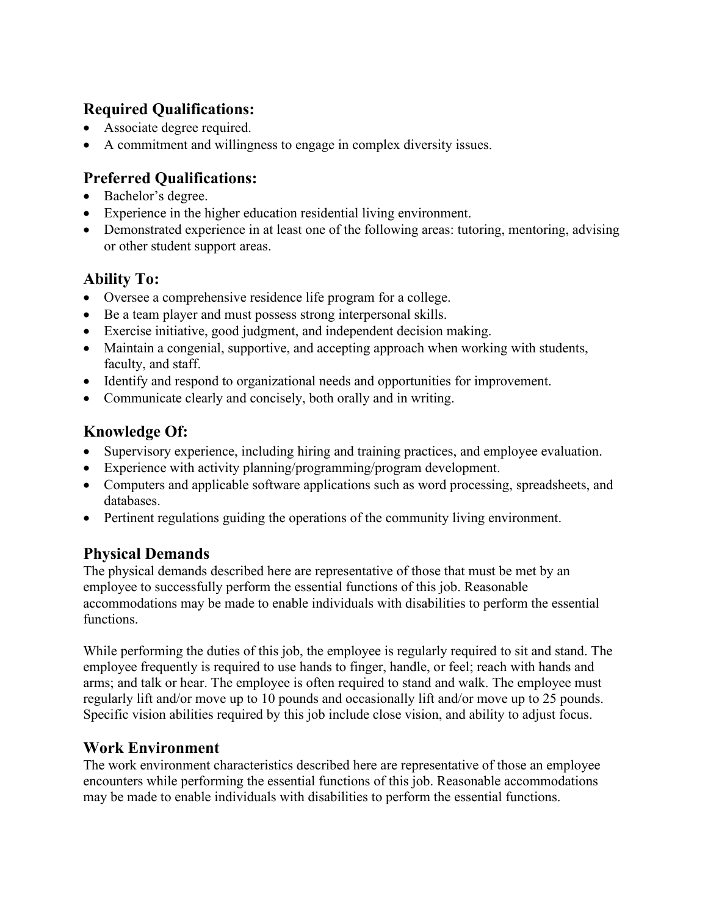# **Required Qualifications:**

- Associate degree required.
- A commitment and willingness to engage in complex diversity issues.

# **Preferred Qualifications:**

- Bachelor's degree.
- Experience in the higher education residential living environment.
- Demonstrated experience in at least one of the following areas: tutoring, mentoring, advising or other student support areas.

# **Ability To:**

- Oversee a comprehensive residence life program for a college.
- Be a team player and must possess strong interpersonal skills.
- Exercise initiative, good judgment, and independent decision making.
- Maintain a congenial, supportive, and accepting approach when working with students, faculty, and staff.
- Identify and respond to organizational needs and opportunities for improvement.
- Communicate clearly and concisely, both orally and in writing.

# **Knowledge Of:**

- Supervisory experience, including hiring and training practices, and employee evaluation.
- Experience with activity planning/programming/program development.
- Computers and applicable software applications such as word processing, spreadsheets, and databases.
- Pertinent regulations guiding the operations of the community living environment.

## **Physical Demands**

The physical demands described here are representative of those that must be met by an employee to successfully perform the essential functions of this job. Reasonable accommodations may be made to enable individuals with disabilities to perform the essential functions.

While performing the duties of this job, the employee is regularly required to sit and stand. The employee frequently is required to use hands to finger, handle, or feel; reach with hands and arms; and talk or hear. The employee is often required to stand and walk. The employee must regularly lift and/or move up to 10 pounds and occasionally lift and/or move up to 25 pounds. Specific vision abilities required by this job include close vision, and ability to adjust focus.

## **Work Environment**

The work environment characteristics described here are representative of those an employee encounters while performing the essential functions of this job. Reasonable accommodations may be made to enable individuals with disabilities to perform the essential functions.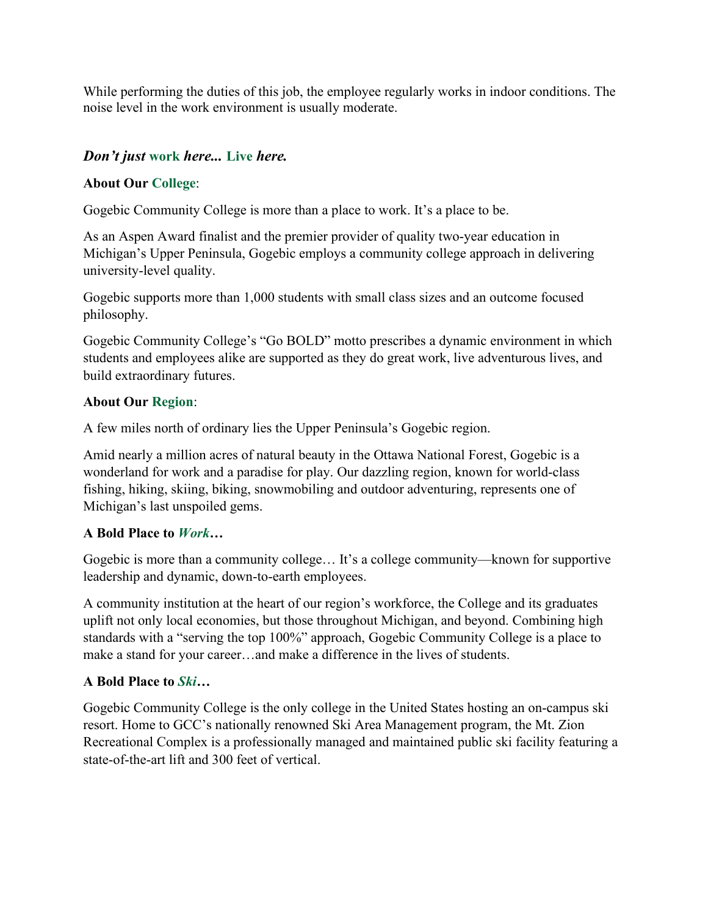While performing the duties of this job, the employee regularly works in indoor conditions. The noise level in the work environment is usually moderate.

#### *Don't just* **work** *here...* **Live** *here.*

#### **About Our College**:

Gogebic Community College is more than a place to work. It's a place to be.

As an Aspen Award finalist and the premier provider of quality two-year education in Michigan's Upper Peninsula, Gogebic employs a community college approach in delivering university-level quality.

Gogebic supports more than 1,000 students with small class sizes and an outcome focused philosophy.

Gogebic Community College's "Go BOLD" motto prescribes a dynamic environment in which students and employees alike are supported as they do great work, live adventurous lives, and build extraordinary futures.

#### **About Our Region**:

A few miles north of ordinary lies the Upper Peninsula's Gogebic region.

Amid nearly a million acres of natural beauty in the Ottawa National Forest, Gogebic is a wonderland for work and a paradise for play. Our dazzling region, known for world-class fishing, hiking, skiing, biking, snowmobiling and outdoor adventuring, represents one of Michigan's last unspoiled gems.

#### **A Bold Place to** *Work***…**

Gogebic is more than a community college… It's a college community—known for supportive leadership and dynamic, down-to-earth employees.

A community institution at the heart of our region's workforce, the College and its graduates uplift not only local economies, but those throughout Michigan, and beyond. Combining high standards with a "serving the top 100%" approach, Gogebic Community College is a place to make a stand for your career…and make a difference in the lives of students.

#### **A Bold Place to** *Ski…*

Gogebic Community College is the only college in the United States hosting an on-campus ski resort. Home to GCC's nationally renowned Ski Area Management program, the Mt. Zion Recreational Complex is a professionally managed and maintained public ski facility featuring a state-of-the-art lift and 300 feet of vertical.